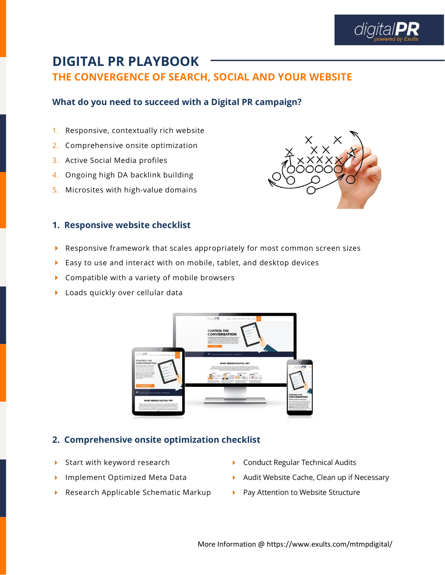

## **DIGITAL PR PLAYBOOK THE CONVERGENCE OF SEARCH, SOCIAL AND YOUR WEBSITE**

### **What do you need to succeed with a Digital PR campaign?**

- 1. Responsive, contextually rich website
- 2. Comprehensive onsite optimization
- 3. Active Social Media profiles
- 4. Ongoing high DA backlink building
- 5. Microsites with high-value domains



#### **1. Responsive website checklist**

- Responsive framework that scales appropriately for most common screen sizes
- Easy to use and interact with on mobile, tablet, and desktop devices
- ▶ Compatible with a variety of mobile browsers
- **Loads quickly over cellular data**



### **2. Comprehensive onsite optimization checklist**

- Start with keyword research
- **Implement Optimized Meta Data**
- ▶ Research Applicable Schematic Markup
- ▶ Conduct Regular Technical Audits
- Audit Website Cache, Clean up if Necessary
- $\blacktriangleright$  Pay Attention to Website Structure